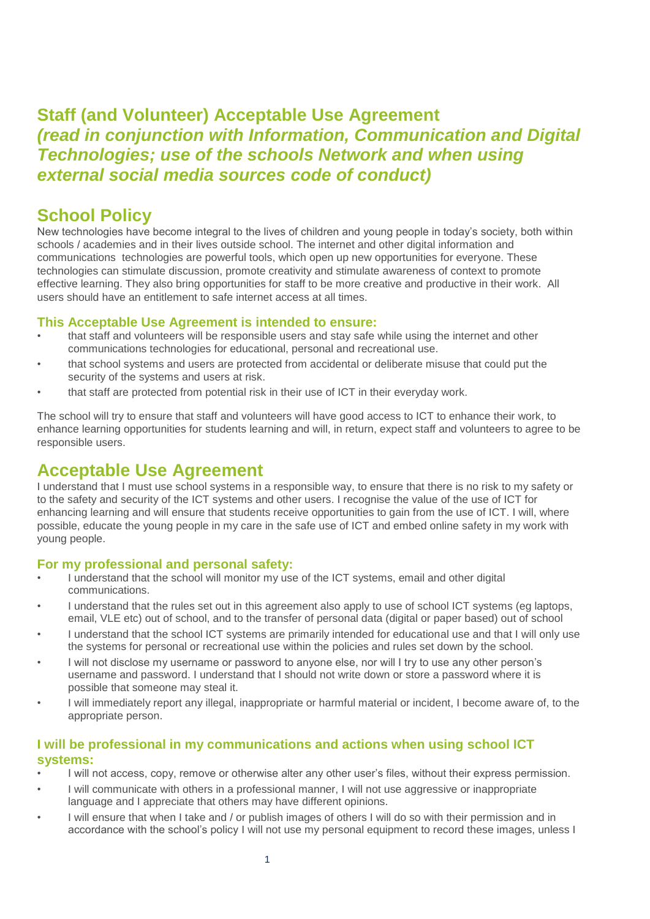# **Staff (and Volunteer) Acceptable Use Agreement**  *(read in conjunction with Information, Communication and Digital Technologies; use of the schools Network and when using external social media sources code of conduct)*

# **School Policy**

New technologies have become integral to the lives of children and young people in today's society, both within schools / academies and in their lives outside school. The internet and other digital information and communications technologies are powerful tools, which open up new opportunities for everyone. These technologies can stimulate discussion, promote creativity and stimulate awareness of context to promote effective learning. They also bring opportunities for staff to be more creative and productive in their work. All users should have an entitlement to safe internet access at all times.

## **This Acceptable Use Agreement is intended to ensure:**

- that staff and volunteers will be responsible users and stay safe while using the internet and other communications technologies for educational, personal and recreational use.
- that school systems and users are protected from accidental or deliberate misuse that could put the security of the systems and users at risk.
- that staff are protected from potential risk in their use of ICT in their everyday work.

The school will try to ensure that staff and volunteers will have good access to ICT to enhance their work, to enhance learning opportunities for students learning and will, in return, expect staff and volunteers to agree to be responsible users.

# **Acceptable Use Agreement**

I understand that I must use school systems in a responsible way, to ensure that there is no risk to my safety or to the safety and security of the ICT systems and other users. I recognise the value of the use of ICT for enhancing learning and will ensure that students receive opportunities to gain from the use of ICT. I will, where possible, educate the young people in my care in the safe use of ICT and embed online safety in my work with young people.

## **For my professional and personal safety:**

- I understand that the school will monitor my use of the ICT systems, email and other digital communications.
- I understand that the rules set out in this agreement also apply to use of school ICT systems (eg laptops, email, VLE etc) out of school, and to the transfer of personal data (digital or paper based) out of school
- I understand that the school ICT systems are primarily intended for educational use and that I will only use the systems for personal or recreational use within the policies and rules set down by the school.
- I will not disclose my username or password to anyone else, nor will I try to use any other person's username and password. I understand that I should not write down or store a password where it is possible that someone may steal it.
- I will immediately report any illegal, inappropriate or harmful material or incident, I become aware of, to the appropriate person.

## **I will be professional in my communications and actions when using school ICT systems:**

- I will not access, copy, remove or otherwise alter any other user's files, without their express permission.
- I will communicate with others in a professional manner, I will not use aggressive or inappropriate language and I appreciate that others may have different opinions.
- I will ensure that when I take and / or publish images of others I will do so with their permission and in accordance with the school's policy I will not use my personal equipment to record these images, unless I